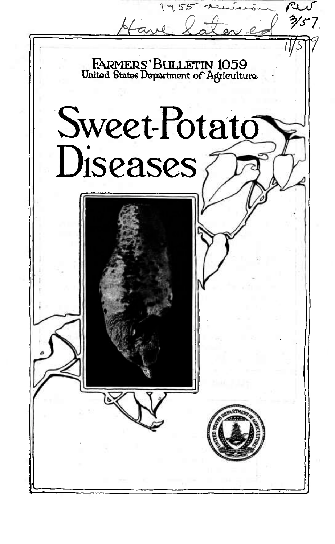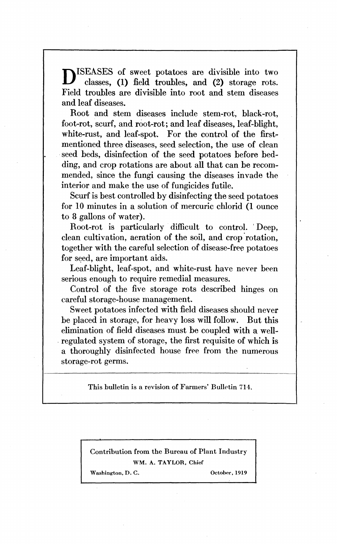ISEASES of sweet potatoes are divisible into two classes, (1) field troubles, and (2) storage rots. Field troubles are divisible into root and stem diseases and leaf diseases.

Root and stem diseases include stem-rot, black-rot, foot-rot, scurf, and root-rot; and leaf diseases, leaf-blight, white-rust, and leaf-spot. For the control of the firstmentioned three diseases, seed selection, the use of clean seed beds, disinfection of the seed potatoes before bedding, and crop rotations are about all that can be recommended, since the fungi causing the diseases invade the interior and make the use of fungicides futile.

Scurf is best controlled by disinfecting the seed potatoes for 10 minutes in a solution of mercuric chlorid (1 ounce to 8 gallons of water).

Root-rot is particularly difficult to control. Deep, clean cultivation, aeration of the soil, and crop rotation, together with the careful selection of disease-free potatoes for seed, are important aids.

Leaf-blight, leaf-spot, and white-rust have never been serious enough to require remedial measures.

Control of the five storage rots described hinges on careful storage-house management.

Sweet potatoes infected with field diseases should never be placed in storage, for heavy loss will follow. But this elimination of field diseases must be coupled with a wellregulated system of storage, the first requisite of which is a thoroughly disinfected house free from the numerous storage-rot germs.

This bulletin is a revision of Farmers' Bulletin 714.

Contribution from the Bureau of Plant Industry WM. A. TAYLOR, Chief

Washington, D. C. October, 1919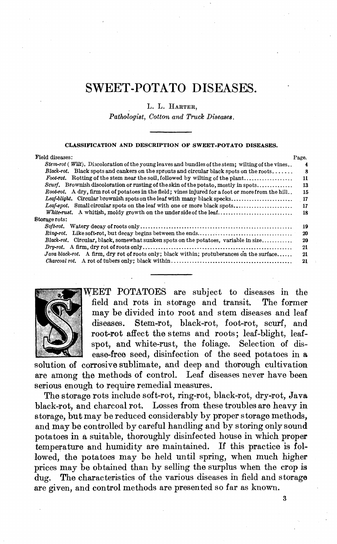# SWEET-POTATO DISEASES.

L. L. HARTER,

*Pathologist, Cotton and Truck Diseases.*

#### CLASSIFICATION AND DESCRIPTION OF SWEET-POTATO DISEASES.

| Field diseases:                                                                                             | Page. |
|-------------------------------------------------------------------------------------------------------------|-------|
| $Stem-rot$ ( <i>Wilt</i> ). Discoloration of the young leaves and bundles of the stem: wilting of the vines | 4     |
| Black-rot. Black spots and cankers on the sprouts and circular black spots on the roots                     | R     |
| Foot-rot. Rotting of the stem near the soil, followed by wilting of the plant                               | 11    |
| Scurf. Brownish discoloration or rusting of the skin of the potato, mostly in spots                         | 13    |
| Root-rot. A dry, firm rot of potatoes in the field; vines injured for a foot or more from the hill          | 15    |
| Leaf-blight. Circular brownish spots on the leaf with many black specks                                     | - 17  |
| Leaf-spot. Small circular spots on the leaf with one or more black spots                                    | 17    |
|                                                                                                             | 18    |
| Storage rots:                                                                                               |       |
|                                                                                                             | 19    |
|                                                                                                             | 20    |
| Black-rot. Circular, black, somewhat sunken spots on the potatoes, variable in size                         | 20    |
|                                                                                                             | 21    |
| Java black-rot. A firm, dry rot of roots only; black within; protuberances on the surface                   | 21    |
|                                                                                                             | 21    |



WEET POTATOES are subject to diseases in the field and rots in storage and transit. The former may be divided into root and stem diseases and leaf diseases. Stem-rot, black-rot, foot-rot, scurf, and root-rot affect the stems and roots; leaf-blight, leafspot, and white-rust, the foliage. Selection of disease-free seed, disinfection of the seed potatoes in a

solution of corrosive sublimate, and deep and thorough cultivation are among the methods of control. Leaf diseases never have been serious enough to require remedial measures.

The storage rots include soft-rot, ring-rot, black-rot, dry-rot, Java black-rot, and charcoal rot. Losses from these troubles are heavy in storage, but may be reduced considerably by proper storage methods, and may be controlled by careful handling and by storing only sound potatoes in a suitable, thoroughly disinfected house in which proper temperature and humidity are maintained. If this practice is followed, the potatoes may be held until spring, when much higher prices may be obtained than by selling the surplus when the crop is dug. The characteristics of the various diseases in field and storage are given, and control methods are presented so far as known.

3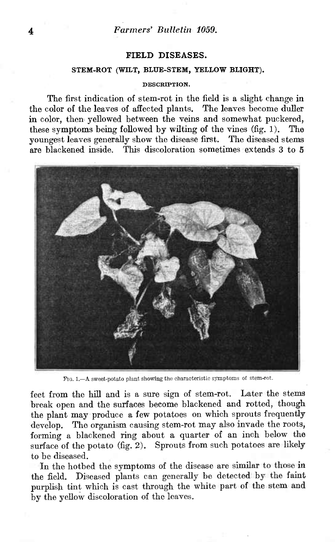### **FIELD DISEASES.**

### **STEM-ROT (WILT, BLUE-STEM, YELLOW BLIGHT).**

#### DESCRIPTION.

The first indication of stem-rot in the field is a slight change in the color of the leaves of affected plants. The leaves become duller in color, then yellowed between the veins and somewhat puckered, these symptoms being followed by wilting of the vines (fig. 1). The youngest leaves generally show the disease first. The diseased stems are blackened inside. This discoloration sometimes extends 3 to 5



FIG. 1.—A sweet-potato plant showing the characteristic symptoms of stem-rot.

feet from the hill and is a sure sign of stem-rot. Later the stems break open and the surfaces become blackened and rotted, though the plant may produce a few potatoes on which sprouts frequently develop. The organism causing stem-rot may also invade the roots, forming a blackened ring about a quarter of an inch below the surface of the potato (fig. 2). Sprouts from such potatoes are likely to be diseased.

In the hotbed the symptoms of the disease are similar to those in the field. Diseased plants can generally be detected by the faint purplish tint which is cast through the white part of the stem and by the yellow discoloration of the leaves.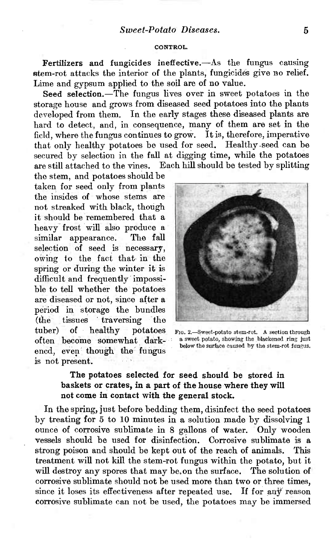#### CONTROL.

Fertilizers and fungicides ineffective.—As the fungus causing stem-rot attacks the interior of the plants, fungicides give no relief. Lime and gypsum applied to the soil are of no value.

Seed selection.—The fungus lives over in sweet potatoes in the storage house and grows from diseased seed potatoes into the plants developed from them. In the early stages these diseased plants are hard to detect, and, in consequence, many of them are set in the field, where the fungus continues to grow. It is, therefore, imperative that only healthy potatoes be used for seed. Healthy seed can be secured by selection in the fall at digging time, while the potatoes are still attached to the vines. Each hill should be tested by splitting

the stem, and potatoes should be taken for seed only from plants the insides of whose stems are not streaked with black, though it should be remembered that a heavy frost will also produce a similar appearance. The fall selection of seed is necessary, owing to the fact that in the spring or during the winter it is difficult and frequently impossible to tell whether the potatoes are diseased or not, since after a period in storage the bundles<br>(the tissues traversing the tissues traversing the tuber) of healthy potatoes often become somewhat darkened, even though the fungus is not present.



FIG. 2.—Sweet-potato stem-rot. A section through a sweet potato, showing the blackened ring just below the surface caused by the stem-rot fungus.

# The potatoes selected for seed should be stored in baskets or crates, in a part of the house where they will not come in contact with the general stock.

In the spring, just before bedding them, disinfect the seed potatoes by treating for 5 to 10 minutes in a solution made by dissolving <sup>1</sup> ounce of corrosive sublimate in 8 gallons of water. Only wooden vessels should be used for disinfection. Corrosive sublimate is a strong poison and should be kept out of the reach of animals. This treatment will not kill the stem-rot fungus within the potato, but it will destroy any spores that may be. on the surface. The solution of corrosive sublimate should not be used more than two or three times, since it loses its effectiveness after repeated use. If for any reason corrosive sublimate can not be used, the potatoes may be immersed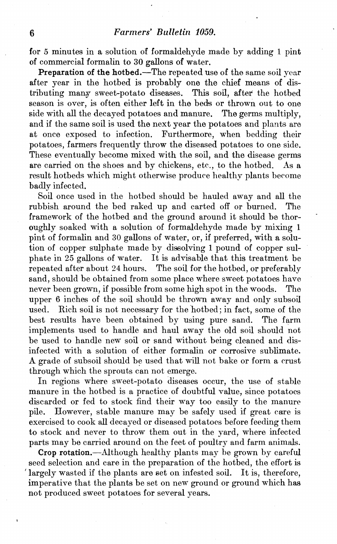# 6 *Farmers<sup>9</sup> Bulletin 1059.*

for 5 minutes in a solution of formaldehyde made by adding 1 pint of commercial formalin to 30 gallons of water.

Preparation of the hotbed.—The repeated use of the same soil year after year in the hotbed is probably one the chief means of distributing many sweet-potato diseases. This soil, after the hotbed season is over, is often either left in the beds or thrown out to one side with all the decayed potatoes and manure. The germs multiply, and if the same soil is used the next year the potatoes and plants are at once exposed to infection. Furthermore, when bedding their Furthermore, when bedding their potatoes, farmers frequently throw the diseased potatoes to one side. These eventually become mixed with the soil, and the disease germs are carried on the shoes and by chickens, etc., to the hotbed. As a result hotbeds which might otherwise produce healthy plants become badly infected.

Soil once used in the hotbed should be hauled away and all the rubbish around the bed raked up and carted off or burned. The framework of the hotbed and the ground around it should be thoroughly soaked with a solution of formaldehyde made by mixing <sup>1</sup> pint of formalin and 30 gallons of water, or, if preferred, with a solution of copper sulphate made by dissolving <sup>1</sup> pound of copper sulphate in 25 gallons of water. It is advisable that this treatment be repeated after about 24 hours. The soil for the hotbed, or preferably The soil for the hotbed, or preferably. sand, should be obtained from some place where sweet potatoes have never been grown, if possible from some high spot in the woods. The upper 6 inches of the soil should be thrown away and only subsoil used. Rich soil is not necessary for the hotbed; in fact, some of the Rich soil is not necessary for the hotbed; in fact, some of the best results have been obtained by using pure sand. The farm implements used to handle and haul away the old soil should not be used to handle new soil or sand without being cleaned and disinfected with a solution of either formalin or corrosive sublimate. A grade of subsoil should be used that will not bake or form a crust through which the sprouts can not emerge.

In regions where sweet-potato diseases occur, the use of stable manure in the hotbed is a practice of doubtful value, since potatoes discarded or fed to stock find their way too easily to the manure pile. However, stable manure may be safely used if great care is exercised to cook all decayed or diseased potatoes before feeding them to stock and never to throw them out in the yard, where infected parts may be carried around on the feet of poultry and farm animals.

Crop rotation.—Although healthy plants may be grown by careful seed selection and care in the preparation of the hotbed, the effort is Iargely wasted if the plants are set on infested soil. It is, therefore, imperative that the plants be set on new ground or ground which has not produced sweet potatoes for several years.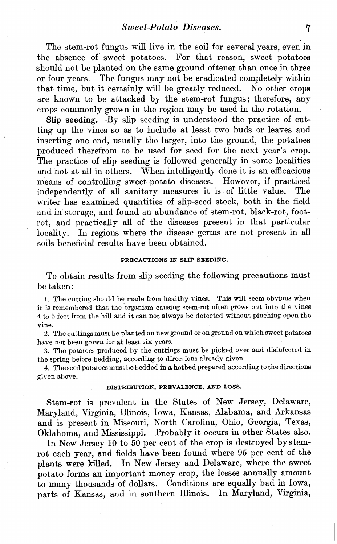The stem-rot fungus will live in the soil for several years, even in the absence of sweet potatoes. For that reason, sweet potatoes should not be planted on the same ground oftener than once in three or four years. The fungus may not be eradicated completely within that time, but it certainly will be greatly reduced. No other crops are known to be attacked by the stem-rot fungus; therefore, any crops commonly grown in the region may be used in the rotation.

Slip seeding.—By slip seeding is understood the practice of cutting up the vines so as to include at least two buds or leaves and inserting one end, usually the larger, into the ground, the potatoes produced therefrom to be used for seed for the next year's crop. The practice of slip seeding is followed generally in some localities and not at all in others. When intelligently done it is an efficacious means of controlling sweet-potato diseases. However, if practiced independently of all sanitary measures it is of little value. The writer has examined quantities of slip-seed stock, both in the field and in storage, and found an abundance of stem-rot, black-rot, footrot, and practically all of the diseases present in that particular locality. In regions where the disease germs are not present in all soils beneficial results have been obtained.

#### **PRECAUTIONS IN SLIP SEEDING.**

To obtain results from slip seeding the following precautions must be taken :

1. The cutting should be made from healthy vines. This will seem obvious when it is remembered that the organism causing stem-rot often grows out into the vines <sup>4</sup> to <sup>5</sup> feet from the hill and it can not always be detected without pinching open the vine.

2. The cuttings must be planted on new ground or on ground on which sweet potatoes have not been grown for at least six years.

3. The potatoes produced by the cuttings must be picked over and disinfected in the spring before bedding, according to directions already given.

4. The seed potatoes must be bedded in a hotbed prepared according to the directions given above.

#### **DISTRIBUTION, PREVALENCE, AND LOSS.**

Stem-rot is prevalent in the States of New Jersey, Delaware, Maryland, Virginia, Illinois, Iowa, Kansas, Alabama, and Arkansas and is present in Missouri, North Carolina, Ohio, Georgia, Texas, Oklahoma, and Mississippi. Probably it occurs in other States also.

In New Jersey 10 to 50 per cent of the crop is destroyed by stemrot each year, and fields have been found where 95 per cent of the plants were killed. In New Jersey and Delaware, where the sweet potato forms an important money crop, the losses annually amount to many thousands of dollars. Conditions are equally bad in Iowa, parts of Kansas, and in southern Illinois. In Maryland, Virginia,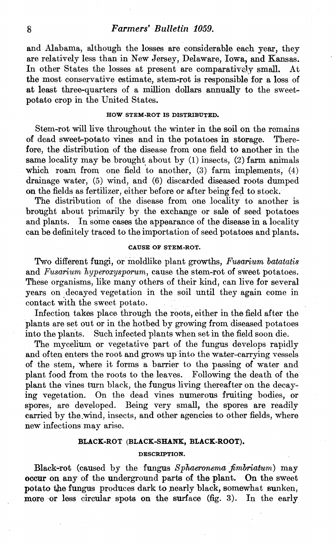### 8 *Farmers<sup>9</sup> Bulletin 1059.*

and Alabama, although the losses are considerable each year, they are relatively less than in New Jersey, Delaware, Iowa, and Kansas.<br>In other States the losses at present are comparatively small. At In other States the losses at present are comparatively small. the most conservative estimate, stem-rot is responsible for a loss of at least three-quarters of a million dollars annually to the sweetpotato crop in the United States.

### **HOW STEM-ROT IS DISTRIBUTED.**

Stem-rot will live throughout the winter in the soil on the remains of dead sweet-potato vines and in the potatoes in storage. Therefore, the distribution of the disease from, one field to another in the same locality may be brought about by (1) insects, (2) farm animals which roam from one field to another, (3) farm implements, (4) drainage water, (5) wind, and (6) discarded diseased roots dumped on the fields as fertilizer, either before or after being fed to stock.

The distribution of the disease from one locality to another is brought about primarily by the exchange or sale of seed potatoes and plants. In some cases the appearance of the disease in a locality can be definitely traced to the importation of seed potatoes and plants.

#### **CAUSE OF STEM-ROT.**

Two different fungi, or moldlike plant growths, *Fusarium batatatis* and *Fusarium hyperoxysporum*, cause the stem-rot of sweet potatoes. These organisms, like many others of their kind, can live for several years on decayed vegetation in the soil until they again come in contact with the sweet potato.

Infection takes place through the roots, either in the field after the plants are set out or in the hotbed by growing from diseased potatoes into the plants. Such infected plants when set in the field soon die.

The mycelium or vegetative part of the fungus develops rapidly and often enters the root and grows up into the water-carrying vessels of the stem, where it forms a barrier to the passing of water and plant food from the roots to the leaves. Following the death of the plant the vines turn black, the fungus living thereafter on the decaying vegetation. On the dead vines numerous fruiting bodies, or spores, are developed. Being very small, the spores are readily carried by the wind, insects, and other agencies to other fields, where new infections may arise.

#### **BLACK-ROT (BLACK-SHANK, BLACK-ROOT).**

#### **DESCRIPTION.**

Black-rot (caused by the fungus Sphaeronema fimbriatum) may occur on any of the underground parts of the plant. On the sweet potato the fungus produces dark to nearly black, somewhat sunken, more or less circular spots on the surface (fig. 3). In the early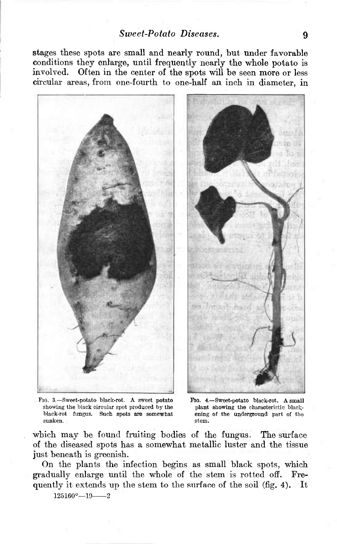stages these spots are small and nearly round, but under favorable conditions they enlarge, until frequently nearly the whole potato is involved. Often in the center of the spots wiU be seen more or less circular areas, from one-fourth to one-half an inch in diameter, in



PIG. 3.—Sweet-potato black-rot. A sweet potato showing the hlack circular spot produced by the black-rot fungus. Such spots are somewhat sunken.

Pío. 4.—Sweet-potato black-rot. A small plant showing the characteristic blackening of the underground part oí the stem.

which may be found fruiting bodies of the fungus. The surface of the diseased spots has a somewhat metallic luster and the tissue just beneath is greenish.

On the plants the infection begins as small black spots, which gradually enlarge until the whole of the stem, is rotted off. Frequently it extends up the stem to the surface of the soil (fig. 4). It

 $125160^{\circ}-19$  2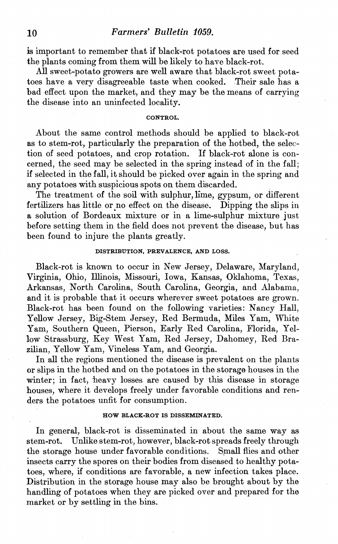# 10 *Farmers<sup>9</sup> Bulletin Í059.*

is important to remember that if black-rot potatoes are used for seed the plants coming from them will be likely to have black-rot.

All sweet-potato growers are well aware that black-rot sweet potatoes have a very disagreeable taste when cooked. Their sale has a bad effect upon the market, and they may be the means of carrying the disease into an uninfected locality.

#### **CONTROL.**

About the same control methods should be applied to black-rot as to stem-rot, particularly the preparation of the hotbed, the selection of seed potatoes, and crop rotation. If black-rot alone is concerned, the seed may be selected in the spring instead of in the fall; if selected in the fall, it should be picked over again in the spring and any potatoes with suspicious spots on them discarded.

The treatment of the soil with sulphur, lime, gypsum, or different fertilizers has little or no effect on the disease. Dipping the slips in a solution of Bordeaux mixture or in a lime-sulphur mixture just before setting them in the field does not prevent the disease, but has been found to injure the plants greatly.

#### **DISTRIBUTION, PREVALENCE, AND LOSS.**

Black-rot is known to occur in New Jersey, Delaware, Maryland, Virginia, Ohio, Illinois, Missouri, Iowa, Kansas, Oklahoma, Texas, Arkansas, North Carolina, South Carolina, Georgia, and Alabama, and it is probable that it occurs wherever sweet potatoes are grown. Black-rot has been found on the following varieties: Nancy Hall, Yellow Jersey, Big-Stem Jersey, Red Bermuda, Miles Yam, White Yam, Southern Queen, Pierson, Early Red Carolina, Florida, Yellow Strassburg, Key West Yam, Red Jersey, Dahomey, Red Brazilian, Yellow Yam, Vineless Yam, and Georgia.

In all the regions mentioned the disease is prevalent on the plants or slips in the hotbed and on the potatoes in the storage houses in the winter; in fact, heavy losses are caused by this disease in storage houses, where it develops freely under favorable conditions and renders the potatoes unfit for consumption.

#### **HOW BLACK-ROT IS DISSEMINATED.**

In general, black-rot is disseminated in about the same way as stem-rot. Unlike stem-rot, however, black-rot spreads freely through the storage house under favorable conditions. Small flies and other insects carry the spores on their bodies from diseased to healthy potatoes, where, if conditions are favorable, a new infection takes place. Distribution in the storage house may also be brought about by the handling of potatoes when they are picked over and prepared for the market or by settling in the bins.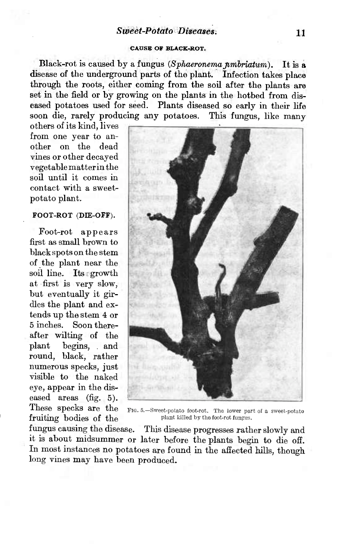### *Sweet-Potato Diseases.* <sup>11</sup>

#### CAUSE OF BLACK-ROT.

Black-rot is caused by a fungus *(Sphaeronema pmbriatum)*. It is a disease of the underground parts of the plant. Infection takes place through the roots, either coming from the soil after the plants are set in the field or by growing on the plants in the hotbed from diseased potatoes used for seed. Plants diseased so early in their life soon die, rarely producing any potatoes. This fungus, like many

others of its kind, lives from one year to another on the dead vines or other decayed vegetablematterin the soil until it comes in contact with a sweetpotato plant.

### **FOOT-ROT (DIE-OFF).**

Foot-rot appears first as small brown to black spots on the stem of the plant near the soil line. Its growth at first is very slow, but eventually it girdles the plant and extends up the stem 4 or 5 inches. Soon thereafter wilting of the plant begins, and round, black, rather numerous specks, just visible to the naked eye, appear in the diseased areas (fig. 5). These specks are the fruiting bodies of the



FIG. 5.—Sweet-potato ioot-rot. The lower part of a sweet-potato plant killed by the foot-rot fungus.

fungus causing the disease. This disease progresses rather slowly and it is about midsummer or later before the plants begin to die off. In most instances no potatoes are found in the affected hills, though long vines may have been produced.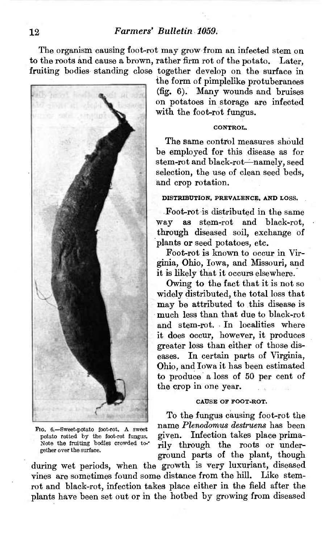The organism causing foot-rot may grow from an infected stem on to the roots and cause a brown, rather firm rot of the potato. Later, fruiting bodies standing close together develop on the surface in



FIG. 6.—Sweet-potato (oot-rot. A sweet potato rotted by the foot-rot fungus. Note the fraiting bodies crowded to-' gether over the surface.

the form of pimplelike protuberances (fig. 6). Many wounds and bruises on potatoes in storage are infected with the foot-rot fungus.

#### **CONTROI,.**

The same control measures should be employed for this disease as for stem-rot and black-rot—namely, seed selection, the use of clean seed beds, and crop rotation.

### **DISTRIBUTION, PREVALENCE, AND LOSS.**

Foot-rot is distributed in the same way as stem-rot and black-rot, through diseased soil, exchange of plants or seed potatoes, etc.

Foot-rot is known to occur in Virginia, Ohio, Iowa, and Missouri, and it is likely that it occurs elsewhere.

Owing to the fact that it is not so widely distributed, the total loss that may be attributed to this disease is much less than that due to black-rot and stem-rot. In localities where it does occur, however, it produces greater loss than either of those diseases. In certain parts of Virginia, Ohio, and Iowa it has been estimated to produce a loss of 50 per cent of the crop in one year.

#### **CAUSE OF FOOT-ROT.**

To the fungus causing foot-rot the name *Plenodomus destruens* has been given. Infection takes place primarily through the roots or underground parts of the plant, though

during wet periods, when the growth is very luxuriant, diseased vines are sometimes found some distance from the hill. Like stemrot and black-rot, infection takes place either in the field after the plants have been set out or in the hotbed by growing from diseased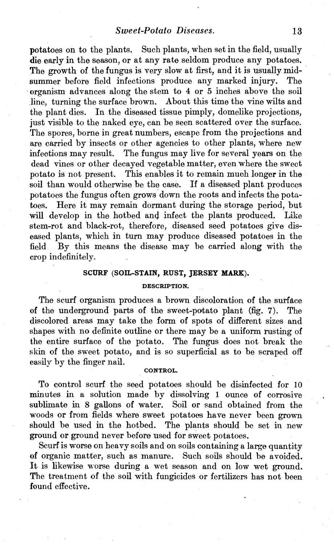potatoes on to the plants. Such plants, when set in the field, usually die early in the season, or at any rate seldom produce any potatoes. The growth of the fungus is very slow at first, and it is usually midsummer before field infections produce any marked injury. The organism advances along the stem to 4 or 5 inches above the soil line, turning the surface brown. About this time the vine wilts and the plant dies. In the diseased tissue pimply, domelike projections. In the diseased tissue pimply, domelike projections, just visible to the naked eye, can be seen scattered over the surface. The spores, borne in great numbers, escape from the projections and are carried by insects or other agencies to other plants, where new infections may result. The fungus may live for several years on the dead vines or other decayed vegetable matter, even where the sweet potato is not present. This enables it to remain much longer in the soil than would otherwise be the case. If a diseased plant produces potatoes the fungus often grows down the roots and infects the potatoes. Here it may remain dormant during the storage period, but will develop in the hotbed and infect the plants produced. Like stem-rot and black-rot, therefore, diseased seed potatoes give diseased plants, which in turn may produce diseased potatoes in the field By this means the disease may be carried along with the crop indefinitely.

### **SCURF (SOIL-STAIN, RUST, JERSEY MARK).**

#### **DESCRIPTION.**

The scurf organism produces a brown discoloration of the surface of the underground parts of the sweet-potato plant (fig. 7). The discolored areas may take the form of spots of different sizes and shapes with no definite outline or there may be a uniform rusting of the entire surface of the potato. The fungus does not break the skin of the sweet potato, and is so superficial as to be scraped off easily by the finger nail.

#### **CONTROL.**

To control scurf the seed potatoes should be disinfected for 10 minutes in a solution made by dissolving <sup>1</sup> ounce of corrosive sublimate in 8 gallons of water. Soil or sand obtained from the woods or from fields where sweet potatoes have never been grown should be used in the hotbed. The plants should be set in new ground or ground never before used for sweet potatoes.

Scurf is worse on heavy soils and on soils containing a large quantity of organic matter, such as manure. Such soils should be avoided. It is likewise worse during a wet season and on low wet ground. The treatment of the soil with fungicides or fertilizers has not been found effective.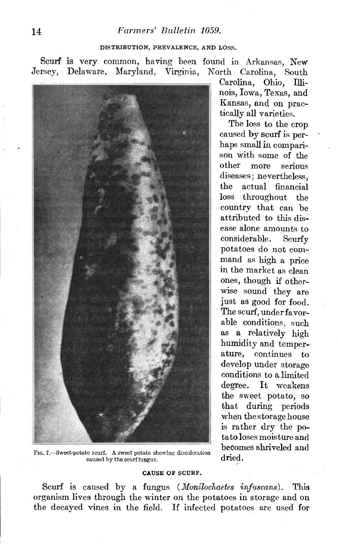## 14 *Farmers' Bulletin 1059.*

### **DISTRIBUTION,** PREVALENCE, AND LOSS.

Scurf is very common, having been found in Arkansas, New Jersey, Delaware, Maryland, Virginia, North Carolina, South



FIG. 7.—Sweet-potato scurf. A sweet potato showing discoloration  $\frac{\partial \text{Covart}}{\partial \text{ried.}}$ caused by the scurffungus.

#### **CAUSE OF** SCURF.

Scurf is caused by a fungus *(Monilochaetes infuscans).* This organism lives through the winter on the potatoes in storage and on the decayed vines in the field. If infected potatoes are used for

Carolina, Ohio, Illinois, Iowa, Texas, and Kansas, and on practically all varieties.

The loss to the crop caused by scurf is perhaps small in comparison with some of the other more serious diseases ; nevertheless, the actual financial loss throughout the country that can be attributed to this disease alone amounts to considerable. Scurfy potatoes do not command as high a price in the market as clean ones, though if otherwise sound they are just as good for food. The scurf, under favorable conditions, such as a relatively high humidity and temperature, continues to develop under storage conditions to a limited degree. It weakens the sweet potato, so that during periods when the storage house is rather dry the potato loses moisture and becomes shriveled and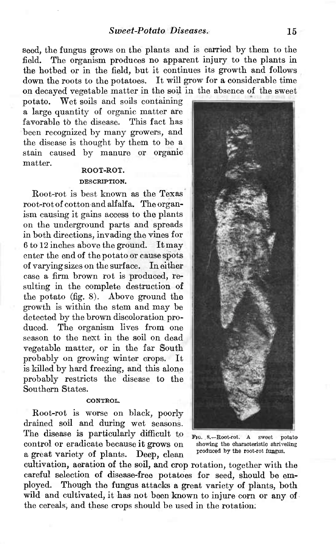seed, the fungus grows on the plants and is carried by them to the field. The organism produces no apparent injury to the plants in the hotbed or in the field, but it continues its growth and follows down the roots to the potatoes. It will grow for a considerable time on decayed vegetable matter in the soil in the absence of the sweet

potato. Wet soils and soils containing a large quantity of organic matter are favorable to the disease. This fact has been recognized by many growers, and the disease is thought by them to be a stain caused by manure or organic matter.

# **ROOT-ROT.**

#### DESCRIPTION.

Root-rot is best known as the Texas root-rot of cotton and alfalfa. The organism causing it gains access to the plants on the underground parts and spreads in both directions, invading the vines for <sup>6</sup> to <sup>12</sup> inches above the ground. Itmay enter the end of the potato or cause spots of varying sizes on the surface. In either case a firm brown rot is produced, resulting in the complete destruction of the potato (fig. 8). Above ground the growth is within the stem and may be detected by the brown discoloration produced. The organism lives from one season to the next in the soil on dead vegetable matter, or in the far South probably on growing winter crops. It is killed by hard freezing, and this alone probably restricts the disease to the Southern States.

#### CONTROL.

Root-rot is worse on black, poorly drained soil and during wet seasons. The disease is particularly difficult to control or eradicate because it grows on a great variety of plants. Deep, clean

cultivation, aeration of the soil, and crop rotation, together with the careful selection of disease-free potatoes for seed, should be employed. Though the fungus attacks a great variety of plants, both wild and cultivated, it has not been known to injure corn or any of the cereals, and these crops should be used in the rotation.



FIG. 8.-Root-rot. A sweet potato showing the characteristic shriveling produced by the root-rot fungus.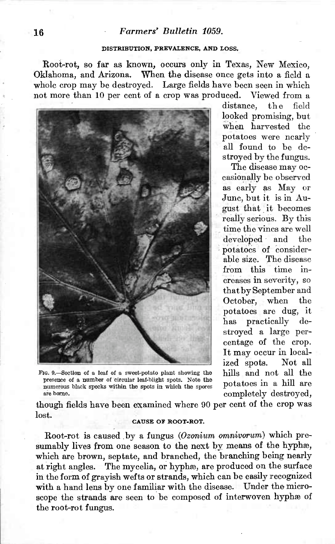### 16 *Farmers' Bulletin 1059.*

#### **DISTRIBUTION, PREVALENCK, AND LOSS.**

Root-rot, so far as known, occurs only in Texas, New Mexico, Oklahoma, and Arizona. When the disease once gets into a field a whole crop may be destroyed. Large fields have been seen in which not more than 10 per cent of a crop was produced. Viewed from a



FIG. 9.—Section of a leaf ot a sweet-potato plant showing the presence of a number of circular leaf-blight spots. Note the numerous black specks within the spots in which the spores are borne.

distance, the field looked promising, but when harvested the potatoes were nearly all found to be destroyed by the fungus.

The disease may occasionally be observed as early as May or June, but it is in August that it becomes really serious. By this time the vines are well developed and the potatoes of considerable size. The disease from this time increases in severity, so thatby September and October, when the potatoes are dug, it has practically stroyed a large percentage of the crop. It may occur in localized spots. Not all hills and not all the potatoes in a hill are completely destroyed,

though fields have been examined where 90 per cent of the crop was lost.

#### CAUSE **OF** ROOT-ROT.

Root-rot is caused by a fungus *{Ozonium omnivorum)* which presumably lives from one season to the next by means of the hyphæ, which are brown, septate, and branched, the branching being nearly at right angles. The mycelia, or hyphæ, are produced on the surface in the form of grayish wefts or strands, which can be easily recognized with a hand lens by one familiar with the disease. Under the microscope the strands are seen to be composed of interwoven hyphæ of the root-rot fungus.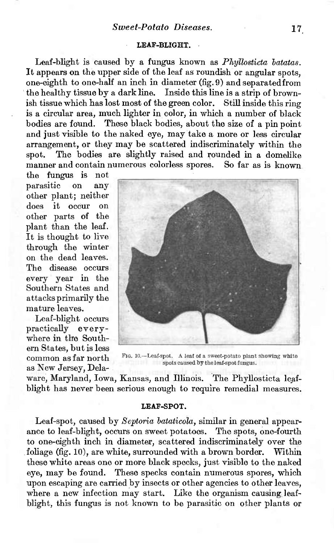### **LEAF-BLIGHT.**

Leaf-blight is caused by a fungus known as *Phyllosticta hatatas.* It appears on the upper side of the leaf as roundish or angular spots, one-eighth to one-half an inch in diameter (fig. 9) and separated from the healthy tissue by a dark line. Inside this line is a strip of brownish tissue which has lost most of the green color. Still inside this ring is a circular area, much lighter in color, in which a number of black bodies are found. These black bodies, about the size of a pin point and just visible to the naked eye, may take a more or less circular arrangement, or they may be scattered indiscriminately within the spot. The bodies are slightly raised and rounded in a domelike manner and contain numerous colorless spores. So far as is known

the fungus is not parasitic on any other plant; neither does it occur on other parts of the plant than the leaf. It is thought to live through the winter on the dead leaves. The disease occurs every year in the Southern States and attacks primarily the mature leaves.

Leaf-blight occurs practically everywhere in the Southern States, butis less common as far north as New Jersey, Dela-



FIG. 10.—Leaf-spot. A leaf of a sweet-potato plant showing white spots caused by the leaf-spot fungus.

ware, Maryland, Iowa, Kansas, and Illinois. The Phyllosticta leafblight has never been serious enough to require remedial measures.

#### **LEAF-SPOT.**

Leaf-spot, caused by *Septoria bataticola*, similar in general appearance to leaf-blight, occurs on sweet potatoes. The spots, one-fourth to one-eighth inch in diameter, scattered indiscriminately over the foliage (fig. 10), are white, surrounded with a brown border. Within these white areas one or more black specks, just visible to the naked eye, may be found. These specks contain numerous spores, which upon escaping are carried by insects or other agencies to other leaves, where a new infection may start. Like the organism causing leafblight, this fungus is not known to be parasitic on other plants or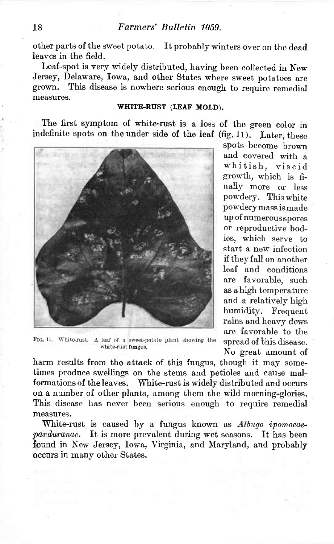other parts of the sweet potato. It probably winters over on the dead leaves in the field.

Leaf-spot is very widely distributed, having been collected in New Jersey, Delaware, Iowa, and other States where sweet potatoes are grown. This disease is nowhere serious cnough to require remedial This disease is nowhere serious cnough to require remedial measures.

### **WHITE-RUST (LEAF MOLD).**

The first symptom of white-rust is a loss of the green color in indefinite spots on the under side of the leaf (fig. 11). Later, these



FIG. 11.—White-rust. A leaf of a sweet-potato plant showing the white-rust fungus.

spots become brown and covered with a whitish, viscid growth, which is finally more or less powdery. This white powderymassismade up of numerousspores or reproductive bodies, which serve to start a new infection if they fall on another leaf and conditions are favorable, such as a high temperature and a relatively high humidity. Frequent rains and heavy dews are favorable to the spread of this disease. No great amount of

harm results from the attack of this fungus, though it may sometimes produce swellings on the stems and petioles and cause malformations of the leaves. White-rust is widely distributed and occurs on a number of other plants, among them the wild morning-glories. This disease has never been serious enough to require remedial measures.

White-rust is caused by a fungus known as *Albugo ipomoeaeparduranae.* It is more prevalent during wet seasons. It has been found in New Jersey, Iowa, Virginia, and Maryland, and probably occurs in many other States.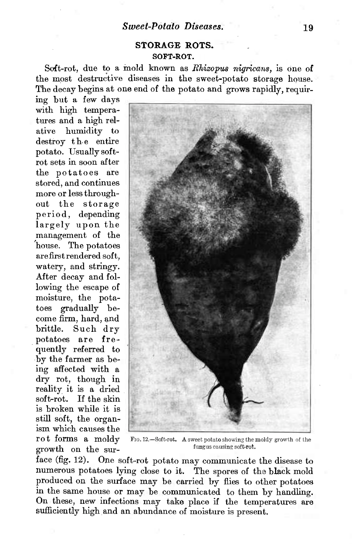# **STORAGE ROTS. SOFT-ROT.**

Soft-rot, due to a mold known as *Rhizopus nigricans*, is one of the most destructive diseases in the sweet-potato storage house. The decay begins at one end of the potato and grows rapidly, requir-

ing but a few days with high temperatures and a high relative humidity to destroy the entire potato. Usually softrot sets in soon after the potatoes are stored, and continues more or less throughout the storage period, depending largely upon the management of the house. The potatoes are firstrendered soft, watery, and stringy. After decay and following the escape of moisture, the potatoes gradually become firm, hard, and brittle. Such dry potatoes are frequently referred to by the farmer as being affected with a dry rot, though in reality it is a dried soft-rot. If the skin is broken while it is still soft, the organism which causes the rot forms a moldy growth on the sur-



Fio. 12.—Soft-rot. A sweet potato showing the moldy growth of the fungus causing soft-rot.

face (fig. 12). One soft-rot potato may communicate the disease to numerous potatoes lying close to it. The spores of the black mold produced on the surface may be carried by flies to other potatoes in the same house or may be communicated to them by handling. On these, new infections may take place if the temperatures are sufficiently high and an abundance of moisture is present.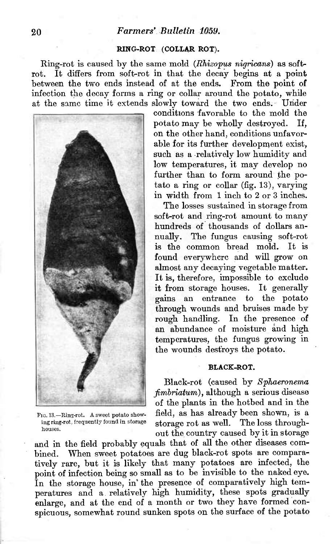# **20** *Farmers' Bulletin 1059.*

### **RING-ROT (COLLAR ROT).**

Ring-rot is caused by the same mold *(RMzopus nigricans)* as softrot. It differs from soft-rot in that the decay begins at a point between the two ends instead of at the ends. From the point of infection the decay forms a ring or collar around the potato, while at the same time it extends slowly toward the two ends. Under



Fio. 13.—Eing-rot. A sweet potato showing ring-rot, frequently found in storage houses.

conditions favorable to the mold the potato may be wholly destroyed. If, on the other hand, conditions unfavorable for its further development exist, such as a relatively low humidity and low temperatures, it may develop no further than to form around the potato a ring or collar (fig. 13), varying in width from <sup>1</sup> inch to 2 or 3 inches.

The losses sustained in storage from soft-rot and ring-rot amount to many hundreds of thousands of dollars annually. The fungus causing soft-rot is the common bread mold. It is found everywhere and will grow on almost any decaying vegetable matter. It is, therefore, impossible to exclude it from storage houses. It generally gains an entrance to the potato through wounds and bruises made by rough handling. In the presence of an abundance of moisture and high temperatures, the fungus growing in the wounds destroys the potato.

#### **BLACK-ROT.**

Black-rot (caused by *Sphaeronema fimbriatum),* although a serious disease of the plants in the hotbed and in the field, as has already been shown, is a storage rot as well. The loss throughout the country caused by it in storage

and in the field probably equals that of all the other diseases combined. When sweet potatoes are dug black-rot spots are comparatively rare, but it is likely that many potatoes are infected, the point of infection being so small as to be invisible to the naked eye. In the storage house, in' the presence of comparatively high temperatures and a relatively high humidity, these spots gradually enlarge, and at the end of a month or two they have formed conspicuous, somewhat round sunken spots on the surface of the potato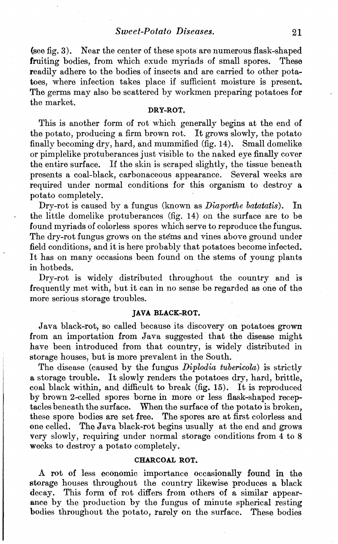(see fig. 3). Near the center of these spots are numerous flask-shaped fruiting bodies, from which exude myriads of small spores. These readily adhere to the bodies of insects and are carried to other potatoes, where infection takes place if sufficient moisture is present. The germs may also be scattered by workmen preparing potatoes for the market.

# **DRY-ROT.**

This is another form of rot which generally begins at the end of the potato, producing a firm brown rot. It grows slowly, the potato finally becoming dry, hard, and mummified (fig. 14). Small domelike or pimplelike protuberances just visible to the naked eye finally cover the entire surface. If the skin is scraped slightly, the tissue beneath presents a coal-black, carbonaceous appearance. Several weeks are required under normal conditions for this organism to destroy a potato completely.

Dry-rot is caused by a fungus (known as *Diaporthe batatatis).* In the little domelike protuberances (fig. 14) on the surface are to be found myriads of colorless spores which serve to reproduce the fungus. The dry-rot fungus grows on the stems and vines above ground under field conditions, and it is here probably that potatoes become infected. It has on many occasions been found on the stems of young plants in hotbeds.

Dry-rot is widely distributed throughout the country and is frequently met with, but it can in no sense be regarded as one of the more serious storage troubles.

### **JAVA BLACK-ROT.**

Java black-rot, so called because its discovery on potatoes grown from an importation from Java suggested that the disease might have been introduced from that country, is widely distributed in storage houses, but is more prevalent in the South.

The disease (caused by the fungus *Diplodia tubericóla)* is strictly a storage trouble. It slowly renders the potatoes dry, hard, brittle, coal black within, and difficult to break (fig. 15). It is reproduced by brown 2-celled spores borne in more or less flask-shaped receptacles beneath the surface. When the surface of the potato is broken, these spore bodies are set free. The spores are at first colorless and one celled. The Java black-rot begins usually at the end and grows very slowly, requiring under normal storage conditions from 4 to 8 weeks to destroy a potato completely.

### **CHARCOAL ROT.**

A rot of less economic importance occasionally found in the storage houses throughout the country likewise produces a black decay. This form of rot differs from others of a similar appearance by the production by the fungus of minute spherical resting bodies throughout the potato, rarely on the surface. These bodies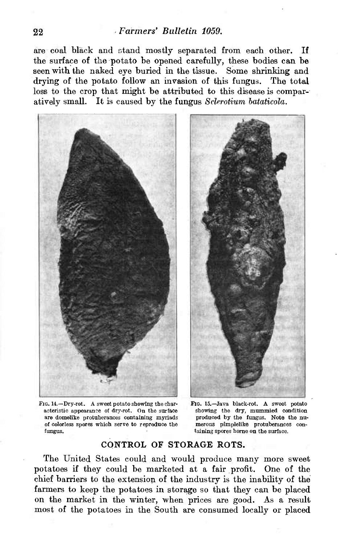are coal black and stand mostly separated from each other. If the surface of the potato be opened carefully, these bodies can be seen with the naked eye buried in the tissue. Some shrinking and drying of the potato follow an invasion of this fungus. The total loss to the crop that might be attributed to this disease is comparatively small. It is caused by the fungus *Sclerotium bataticola.*



FIG. 14.—Dry-rot. A sweet potato showing the characteristic appearance of dry-rot. On the surface are domelike protuberances containing myriads oí colorless spores which serve to reproduce the fungus.

FIG. 15.—Java black-rot. A sweet potato showing the dry, mummied condition produced by the fungus. Note the numerous pimplelike protuberances containing spores borne on the surface.

# CONTROL OF STORAGE ROTS.

The United States could and would produce many more sweet potatoes if they could be marketed at a fair profit. One of the chief barriers to the extension of the industry is the inability of the farmers to keep the potatoes in storage so that they can be placed on the market in the winter, when prices are good. As a result most of the potatoes in the South are consumed locally or placed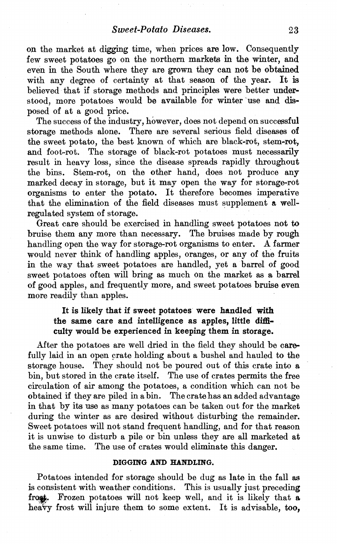on the market at digging time, when prices are low. Consequently few sweet potatoes go on the northern markets in the winter, and even in the South where they are grown they can not be obtained with any degree of certainty at that season of the year. It is believed that if storage methods and principles were better understood, more potatoes would be available for winter use and disposed of at a good price.

The success of the industry, however, does not depend on successful storage methods alone. There are several serious field diseases of the sweet potato, the best known of which are black-rot, stem-rot, and foot-rot. The storage of black-rot potatoes must necessarily result in heavy loss, since the disease spreads rapidly throughout the bins. Stem-rot, on the other hand, does not produce any marked decay in storage, but it may open the way for storage-rot organisms to enter the potato. It therefore becomes imperative that the elimination of the field diseases must supplement a wellregulated system of storage.

Great care should be exercised in handling sweet potatoes not to bruise them any more than necessary. The bruises made by rough handling open the way for storage-rot organisms to enter. A farmer would never think of handling apples, oranges, or any of the fruits in the way that sweet potatoes are handled, yet a barrel of good sweet potatoes often will bring as much On the market as a barrel of good apples, and frequently more, and sweet potatoes bruise even more readily than apples.

# It is likely that if sweet potatoes were handled with the same care and intelligence as apples, little difficulty would be experienced in keeping them in storage.

After the potatoes are well dried in the field they should be carefully laid in an open crate holding about a bushel and hauled to the storage house. They should not be poured out of this crate into a bin, but stored in the crate itself. The use of crates permits the free circulation of air among the potatoes, a condition which can not be obtained if they are piled in a bin. The crate has an added advantage in that by its use as many potatoes can be taken out for the market during the winter as are desired without disturbing the remainder. Sweet potatoes will not stand frequent handling, and for that reason it is unwise to disturb a pile or bin unless they are all marketed at the same time. The use of crates would eliminate this danger.

### **DIGGING AND HANDLING.**

Potatoes intended for storage should be dug as late in the fall as is consistent with weather conditions. This is usually just preceding frost. Frozen potatoes will not keep well, and it is likely that a heavy frost will injure them to some extent. It is advisable, too.